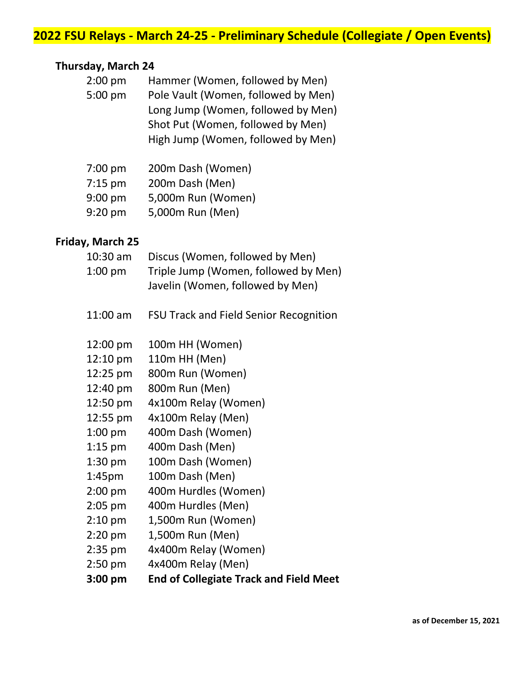# **2022 FSU Relays - March 24-25 - Preliminary Schedule (Collegiate / Open Events)**

### **Thursday, March 24**

| 2:00 pm | Hammer (Women, followed by Men)     |
|---------|-------------------------------------|
| 5:00 pm | Pole Vault (Women, followed by Men) |
|         | Long Jump (Women, followed by Men)  |
|         | Shot Put (Women, followed by Men)   |
|         | High Jump (Women, followed by Men)  |
|         |                                     |

| $7:00$ pm | 200m Dash (Women)  |
|-----------|--------------------|
| $7:15$ pm | 200m Dash (Men)    |
| $9:00$ pm | 5,000m Run (Women) |
| $9:20$ pm | 5,000m Run (Men)   |

### **Friday, March 25**

| 10:30 am<br>$1:00$ pm | Discus (Women, followed by Men)<br>Triple Jump (Women, followed by Men)<br>Javelin (Women, followed by Men) |
|-----------------------|-------------------------------------------------------------------------------------------------------------|
| 11:00 am              | FSU Track and Field Senior Recognition                                                                      |
| 12:00 pm              | 100m HH (Women)                                                                                             |
| $12:10 \text{ pm}$    | 110m HH (Men)                                                                                               |
| 12:25 pm              | 800m Run (Women)                                                                                            |
| 12:40 pm              | 800m Run (Men)                                                                                              |
| 12:50 pm              | 4x100m Relay (Women)                                                                                        |
| 12:55 pm              | 4x100m Relay (Men)                                                                                          |
| $1:00$ pm             | 400m Dash (Women)                                                                                           |
| $1:15$ pm             | 400m Dash (Men)                                                                                             |
| $1:30$ pm             | 100m Dash (Women)                                                                                           |
| 1:45pm                | 100m Dash (Men)                                                                                             |
| $2:00$ pm             | 400m Hurdles (Women)                                                                                        |
| 2:05 pm               | 400m Hurdles (Men)                                                                                          |
| $2:10$ pm             | 1,500m Run (Women)                                                                                          |
| $2:20$ pm             | 1,500m Run (Men)                                                                                            |
| 2:35 pm               | 4x400m Relay (Women)                                                                                        |
| 2:50 pm               | 4x400m Relay (Men)                                                                                          |
| 3:00 pm               | <b>End of Collegiate Track and Field Meet</b>                                                               |